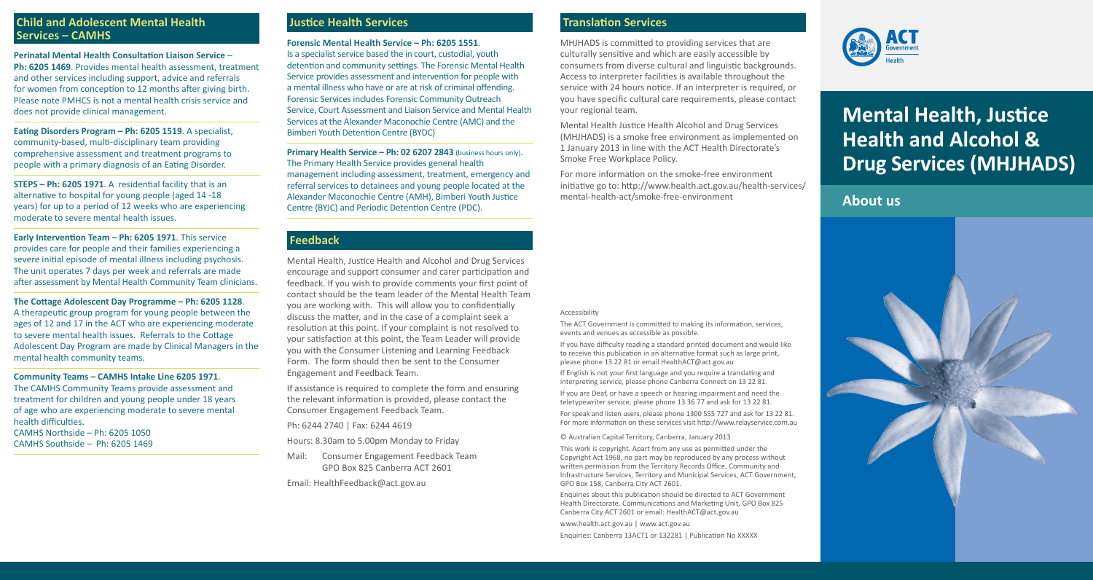## **Child and Adolescent Mental Health Services – CAMHS**

**Perinatal Mental Health Consultation Liaison Service** – **Ph: 6205 1469**. Provides mental health assessment, treatment and other services including support, advice and referrals for women from conception to 12 months after giving birth. Please note PMHCS is not a mental health crisis service and does not provide clinical management.

**Eating Disorders Program – Ph: 6205 1519**. A specialist, community-based, multi-disciplinary team providing comprehensive assessment and treatment programs to people with a primary diagnosis of an Eating Disorder.

**STEPS – Ph: 6205 1971**. A residential facility that is an alternative to hospital for young people (aged 14 -18 years) for up to a period of 12 weeks who are experiencing moderate to severe mental health issues.

**Early Intervention Team – Ph: 6205 1971**. This service provides care for people and their families experiencing a severe initial episode of mental illness including psychosis. The unit operates 7 days per week and referrals are made after assessment by Mental Health Community Team clinicians.

**The Cottage Adolescent Day Programme – Ph: 6205 1128**. A therapeutic group program for young people between the ages of 12 and 17 in the ACT who are experiencing moderate to severe mental health issues. Referrals to the Cottage Adolescent Day Program are made by Clinical Managers in the mental health community teams.

**Community Teams – CAMHS Intake Line 6205 1971**. The CAMHS Community Teams provide assessment and treatment for children and young people under 18 years of age who are experiencing moderate to severe mental health difficulties. CAMHS Northside – Ph: 6205 1050 CAMHS Southside – Ph: 6205 1469

## **Justice Health Services**

**Forensic Mental Health Service – Ph: 6205 1551**. Is a specialist service based the in court, custodial, youth detention and community settings. The Forensic Mental Health Service provides assessment and intervention for people with a mental illness who have or are at risk of criminal offending. Forensic Services includes Forensic Community Outreach Service, Court Assessment and Liaison Service and Mental Health Services at the Alexander Maconochie Centre (AMC) and the Bimberi Youth Detention Centre (BYDC)

**Primary Health Service – Ph: 02 6207 2843** (business hours only). The Primary Health Service provides general health management including assessment, treatment, emergency and referral services to detainees and young people located at the Alexander Maconochie Centre (AMH), Bimberi Youth Justice Centre (BYJC) and Periodic Detention Centre (PDC).

## **Feedback**

Mental Health, Justice Health and Alcohol and Drug Services encourage and support consumer and carer participation and feedback. If you wish to provide comments your first point of contact should be the team leader of the Mental Health Team you are working with. This will allow you to confidentially discuss the matter, and in the case of a complaint seek a resolution at this point. If your complaint is not resolved to your satisfaction at this point, the Team Leader will provide you with the Consumer Listening and Learning Feedback Form. The form should then be sent to the Consumer Engagement and Feedback Team.

If assistance is required to complete the form and ensuring the relevant information is provided, please contact the Consumer Engagement Feedback Team.

Ph: 6244 2740 | Fax: 6244 4619

Hours: 8.30am to 5.00pm Monday to Friday

Mail: Consumer Engagement Feedback Team GPO Box 825 Canberra ACT 2601

Email: HealthFeedback@act.gov.au

## **Translation Services**

MHJHADS is committed to providing services that are culturally sensitive and which are easily accessible by consumers from diverse cultural and linguistic backgrounds. Access to interpreter facilities is available throughout the service with 24 hours notice. If an interpreter is required, or you have specific cultural care requirements, please contact your regional team.

Mental Health Justice Health Alcohol and Drug Services (MHJHADS) is a smoke free environment as implemented on 1 January 2013 in line with the ACT Health Directorate's Smoke Free Workplace Policy.

For more information on the smoke-free environment initiative go to: http://www.health.act.gov.au/health-services/ mental-health-act/smoke-free-environment

#### Accessibility

The ACT Government is committed to making its information, services, events and venues as accessible as possible.

If you have difficulty reading a standard printed document and would like to receive this publication in an alternative format such as large print, please phone 13 22 81 or email HealthACT@act.gov.au

If English is not your first language and you require a translating and interpreting service, please phone Canberra Connect on 13 22 81.

If you are Deaf, or have a speech or hearing impairment and need the teletypewriter service, please phone 13 36 77 and ask for 13 22 81.

For speak and listen users, please phone 1300 555 727 and ask for 13 22 81. For more information on these services visit http://www.relayservice.com.au

© Australian Capital Territory, Canberra, January 2013

This work is copyright. Apart from any use as permitted under the Copyright Act 1968, no part may be reproduced by any process without written permission from the Territory Records Office, Community and Infrastructure Services, Territory and Municipal Services, ACT Government, GPO Box 158, Canberra City ACT 2601.

Enquiries about this publication should be directed to ACT Government Health Directorate, Communications and Marketing Unit, GPO Box 825 Canberra City ACT 2601 or email: HealthACT@act.gov.au

www.health.act.gov.au | www.act.gov.au

Enquiries: Canberra 13ACT1 or 132281 | Publication No XXXXX



# **Mental Health, Justice Health and Alcohol & Drug Services (MHJHADS)**

# **About us**